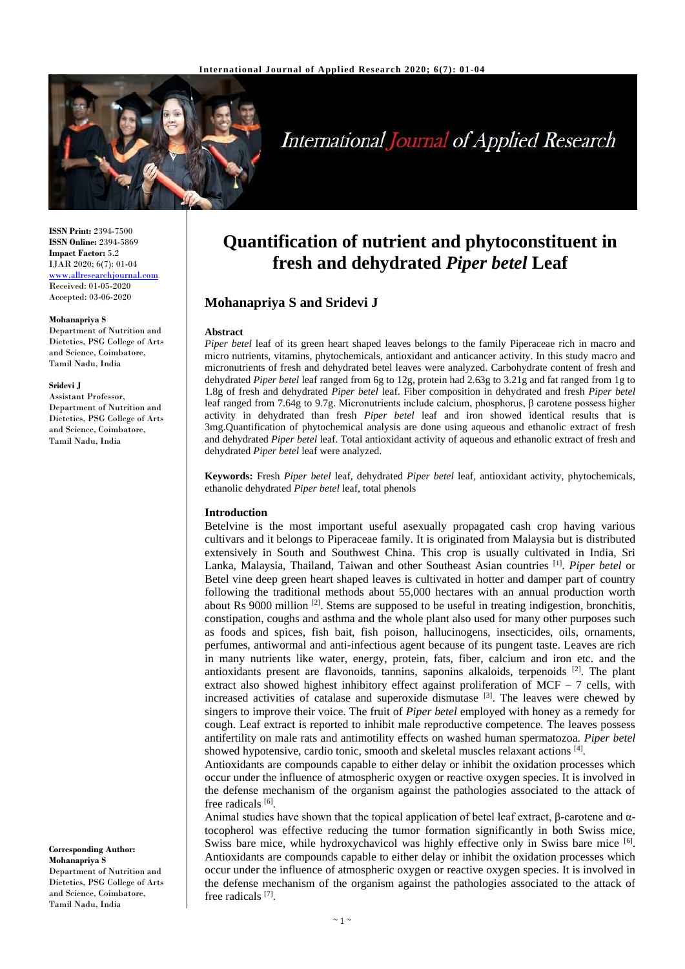

# **International Journal of Applied Research**

**ISSN Print:** 2394-7500 **ISSN Online:** 2394-5869 **Impact Factor:** 5.2 IJAR 2020; 6(7): 01-04 <www.allresearchjournal.com> Received: 01-05-2020 Accepted: 03-06-2020

#### **Mohanapriya S**

Department of Nutrition and Dietetics, PSG College of Arts and Science, Coimbatore, Tamil Nadu, India

#### **Sridevi J**

Assistant Professor, Department of Nutrition and Dietetics, PSG College of Arts and Science, Coimbatore, Tamil Nadu, India

**Corresponding Author: Mohanapriya S** Department of Nutrition and Dietetics, PSG College of Arts and Science, Coimbatore, Tamil Nadu, India

# **Quantification of nutrient and phytoconstituent in fresh and dehydrated** *Piper betel* **Leaf**

# **Mohanapriya S and Sridevi J**

#### **Abstract**

*Piper betel* leaf of its green heart shaped leaves belongs to the family Piperaceae rich in macro and micro nutrients, vitamins, phytochemicals, antioxidant and anticancer activity. In this study macro and micronutrients of fresh and dehydrated betel leaves were analyzed. Carbohydrate content of fresh and dehydrated *Piper betel* leaf ranged from 6g to 12g, protein had 2.63g to 3.21g and fat ranged from 1g to 1.8g of fresh and dehydrated *Piper betel* leaf. Fiber composition in dehydrated and fresh *Piper betel* leaf ranged from 7.64g to 9.7g. Micronutrients include calcium, phosphorus, β carotene possess higher activity in dehydrated than fresh *Piper betel* leaf and iron showed identical results that is 3mg.Quantification of phytochemical analysis are done using aqueous and ethanolic extract of fresh and dehydrated *Piper betel* leaf. Total antioxidant activity of aqueous and ethanolic extract of fresh and dehydrated *Piper betel* leaf were analyzed.

**Keywords:** Fresh *Piper betel* leaf, dehydrated *Piper betel* leaf, antioxidant activity, phytochemicals, ethanolic dehydrated *Piper betel* leaf, total phenols

#### **Introduction**

Betelvine is the most important useful asexually propagated cash crop having various cultivars and it belongs to Piperaceae family. It is originated from Malaysia but is distributed extensively in South and Southwest China. This crop is usually cultivated in India, Sri Lanka, Malaysia, Thailand, Taiwan and other Southeast Asian countries [1] . *Piper betel* or Betel vine deep green heart shaped leaves is cultivated in hotter and damper part of country following the traditional methods about 55,000 hectares with an annual production worth about Rs 9000 million <sup>[2]</sup>. Stems are supposed to be useful in treating indigestion, bronchitis, constipation, coughs and asthma and the whole plant also used for many other purposes such as foods and spices, fish bait, fish poison, hallucinogens, insecticides, oils, ornaments, perfumes, antiwormal and anti-infectious agent because of its pungent taste. Leaves are rich in many nutrients like water, energy, protein, fats, fiber, calcium and iron etc. and the antioxidants present are flavonoids, tannins, saponins alkaloids, terpenoids <sup>[2]</sup>. The plant extract also showed highest inhibitory effect against proliferation of MCF – 7 cells, with increased activities of catalase and superoxide dismutase  $[3]$ . The leaves were chewed by singers to improve their voice. The fruit of *Piper betel* employed with honey as a remedy for cough. Leaf extract is reported to inhibit male reproductive competence. The leaves possess antifertility on male rats and antimotility effects on washed human spermatozoa. *Piper betel* showed hypotensive, cardio tonic, smooth and skeletal muscles relaxant actions [4].

Antioxidants are compounds capable to either delay or inhibit the oxidation processes which occur under the influence of atmospheric oxygen or reactive oxygen species. It is involved in the defense mechanism of the organism against the pathologies associated to the attack of free radicals [6].

Animal studies have shown that the topical application of betel leaf extract, β-carotene and  $α$ tocopherol was effective reducing the tumor formation significantly in both Swiss mice, Swiss bare mice, while hydroxychavicol was highly effective only in Swiss bare mice [6]. Antioxidants are compounds capable to either delay or inhibit the oxidation processes which occur under the influence of atmospheric oxygen or reactive oxygen species. It is involved in the defense mechanism of the organism against the pathologies associated to the attack of free radicals<sup>[7]</sup>.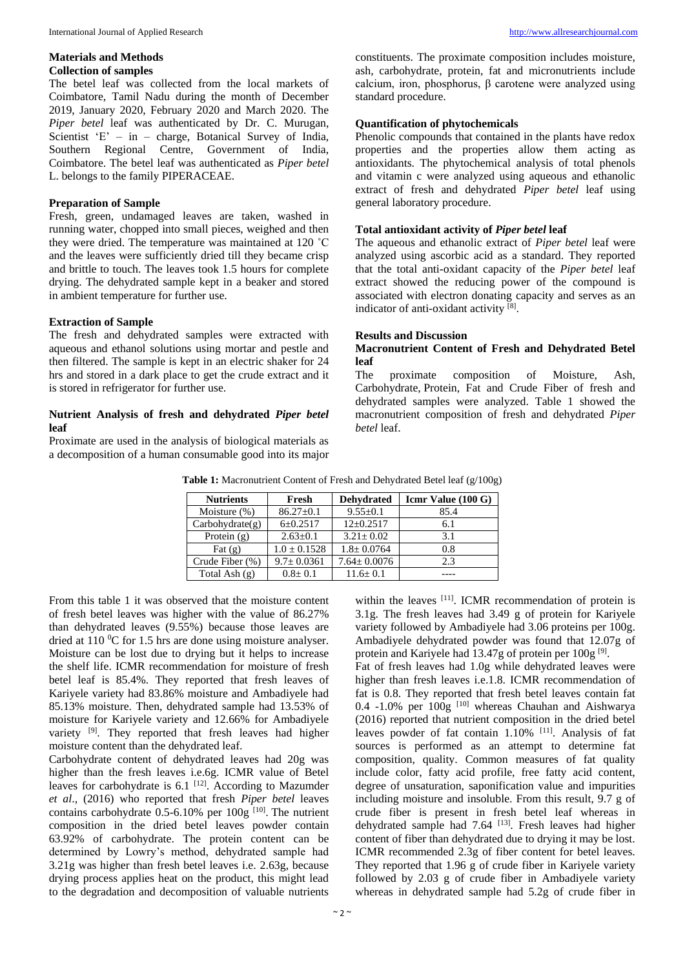#### **Materials and Methods Collection of samples**

The betel leaf was collected from the local markets of Coimbatore, Tamil Nadu during the month of December 2019, January 2020, February 2020 and March 2020. The *Piper betel* leaf was authenticated by Dr. C. Murugan, Scientist 'E' – in – charge, Botanical Survey of India, Southern Regional Centre, Government of India, Coimbatore. The betel leaf was authenticated as *Piper betel* L. belongs to the family PIPERACEAE.

#### **Preparation of Sample**

Fresh, green, undamaged leaves are taken, washed in running water, chopped into small pieces, weighed and then they were dried. The temperature was maintained at 120 ˚C and the leaves were sufficiently dried till they became crisp and brittle to touch. The leaves took 1.5 hours for complete drying. The dehydrated sample kept in a beaker and stored in ambient temperature for further use.

#### **Extraction of Sample**

The fresh and dehydrated samples were extracted with aqueous and ethanol solutions using mortar and pestle and then filtered. The sample is kept in an electric shaker for 24 hrs and stored in a dark place to get the crude extract and it is stored in refrigerator for further use.

#### **Nutrient Analysis of fresh and dehydrated** *Piper betel* **leaf**

Proximate are used in the analysis of biological materials as a decomposition of a human consumable good into its major constituents. The proximate composition includes moisture, ash, carbohydrate, protein, fat and micronutrients include calcium, iron, phosphorus, β carotene were analyzed using standard procedure.

## **Quantification of phytochemicals**

Phenolic compounds that contained in the plants have redox properties and the properties allow them acting as antioxidants. The phytochemical analysis of total phenols and vitamin c were analyzed using aqueous and ethanolic extract of fresh and dehydrated *Piper betel* leaf using general laboratory procedure.

#### **Total antioxidant activity of** *Piper betel* **leaf**

The aqueous and ethanolic extract of *Piper betel* leaf were analyzed using ascorbic acid as a standard. They reported that the total anti-oxidant capacity of the *Piper betel* leaf extract showed the reducing power of the compound is associated with electron donating capacity and serves as an indicator of anti-oxidant activity [8].

#### **Results and Discussion**

### **Macronutrient Content of Fresh and Dehydrated Betel leaf**

The proximate composition of Moisture, Ash, Carbohydrate, Protein, Fat and Crude Fiber of fresh and dehydrated samples were analyzed. Table 1 showed the macronutrient composition of fresh and dehydrated *Piper betel* leaf.

| <b>Nutrients</b> | Fresh            | <b>Dehydrated</b> | $Icmr$ Value (100 G) |
|------------------|------------------|-------------------|----------------------|
| Moisture (%)     | $86.27 \pm 0.1$  | $9.55 \pm 0.1$    | 85.4                 |
| Carbohydrate(g)  | $6 \pm 0.2517$   | $12+0.2517$       | 6.1                  |
| Protein $(g)$    | $2.63 \pm 0.1$   | $3.21 \pm 0.02$   | 3.1                  |
| Fat $(g)$        | $1.0 \pm 0.1528$ | $1.8 \pm 0.0764$  | 0.8                  |
| Crude Fiber (%)  | $9.7 \pm 0.0361$ | $7.64 \pm 0.0076$ | 2.3                  |
| Total Ash $(g)$  | $0.8 \pm 0.1$    | $11.6 \pm 0.1$    |                      |

**Table 1:** Macronutrient Content of Fresh and Dehydrated Betel leaf (g/100g)

From this table 1 it was observed that the moisture content of fresh betel leaves was higher with the value of 86.27% than dehydrated leaves (9.55%) because those leaves are dried at 110  $\rm{^0C}$  for 1.5 hrs are done using moisture analyser. Moisture can be lost due to drying but it helps to increase the shelf life. ICMR recommendation for moisture of fresh betel leaf is 85.4%. They reported that fresh leaves of Kariyele variety had 83.86% moisture and Ambadiyele had 85.13% moisture. Then, dehydrated sample had 13.53% of moisture for Kariyele variety and 12.66% for Ambadiyele variety<sup>[9]</sup>. They reported that fresh leaves had higher moisture content than the dehydrated leaf.

Carbohydrate content of dehydrated leaves had 20g was higher than the fresh leaves i.e.6g. ICMR value of Betel leaves for carbohydrate is  $6.1$  <sup>[12]</sup>. According to Mazumder *et al*., (2016) who reported that fresh *Piper betel* leaves contains carbohydrate  $0.5$ -6.10% per  $100g$ <sup>[10]</sup>. The nutrient composition in the dried betel leaves powder contain 63.92% of carbohydrate. The protein content can be determined by Lowry's method, dehydrated sample had 3.21g was higher than fresh betel leaves i.e. 2.63g, because drying process applies heat on the product, this might lead to the degradation and decomposition of valuable nutrients

within the leaves [11]. ICMR recommendation of protein is 3.1g. The fresh leaves had 3.49 g of protein for Kariyele variety followed by Ambadiyele had 3.06 proteins per 100g. Ambadiyele dehydrated powder was found that 12.07g of protein and Kariyele had 13.47g of protein per  $100g^{[9]}$ .

Fat of fresh leaves had 1.0g while dehydrated leaves were higher than fresh leaves i.e.1.8. ICMR recommendation of fat is 0.8. They reported that fresh betel leaves contain fat 0.4 -1.0% per  $100g$  <sup>[10]</sup> whereas Chauhan and Aishwarya (2016) reported that nutrient composition in the dried betel leaves powder of fat contain 1.10% [11]. Analysis of fat sources is performed as an attempt to determine fat composition, quality. Common measures of fat quality include color, fatty acid profile, free fatty acid content, degree of unsaturation, saponification value and impurities including moisture and insoluble. From this result, 9.7 g of crude fiber is present in fresh betel leaf whereas in dehydrated sample had 7.64 <sup>[13]</sup>. Fresh leaves had higher content of fiber than dehydrated due to drying it may be lost. ICMR recommended 2.3g of fiber content for betel leaves. They reported that 1.96 g of crude fiber in Kariyele variety followed by 2.03 g of crude fiber in Ambadiyele variety whereas in dehydrated sample had 5.2g of crude fiber in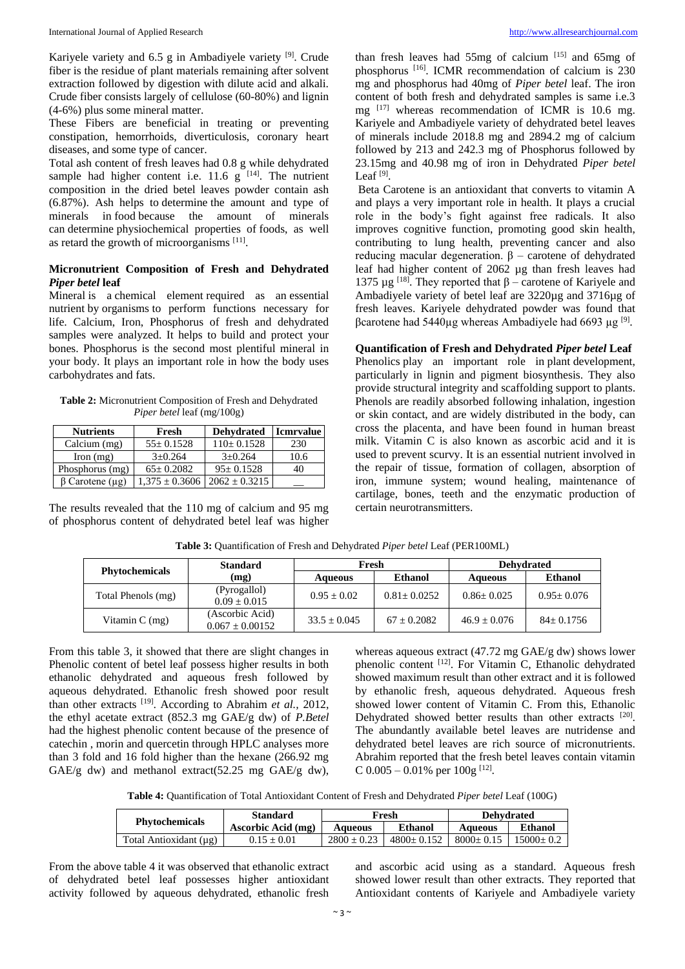Kariyele variety and 6.5 g in Ambadiyele variety <sup>[9]</sup>. Crude fiber is the residue of plant materials remaining after solvent extraction followed by digestion with dilute acid and alkali. Crude fiber consists largely of cellulose (60-80%) and lignin (4-6%) plus some mineral matter.

These Fibers are beneficial in treating or preventing constipation, hemorrhoids, diverticulosis, coronary heart diseases, and some type of cancer.

Total ash content of fresh leaves had 0.8 g while dehydrated sample had higher content i.e. 11.6  $g$  <sup>[14]</sup>. The nutrient composition in the dried betel leaves powder contain ash (6.87%). Ash helps to determine the amount and type of minerals in food because the amount of minerals can determine physiochemical properties of foods, as well as retard the growth of microorganisms [11].

# **Micronutrient Composition of Fresh and Dehydrated**  *Piper betel* **leaf**

Mineral is a chemical element required as an essential nutrient by organisms to perform functions necessary for life. Calcium, Iron, Phosphorus of fresh and dehydrated samples were analyzed. It helps to build and protect your bones. Phosphorus is the second most plentiful mineral in your body. It plays an important role in how the body uses carbohydrates and fats.

**Table 2:** Micronutrient Composition of Fresh and Dehydrated *Piper betel* leaf (mg/100g)

| <b>Nutrients</b>      | Fresh              | <b>Dehydrated</b> | <b>Icmrvalue</b> |
|-----------------------|--------------------|-------------------|------------------|
| Calcium (mg)          | $55 \pm 0.1528$    | $110 \pm 0.1528$  | 230              |
| $\Gamma$ Iron $(mg)$  | $3+0.264$          | $3+0.264$         | 10.6             |
| Phosphorus (mg)       | $65 \pm 0.2082$    | $95+0.1528$       | 40               |
| $\beta$ Carotene (µg) | $1.375 \pm 0.3606$ | $2062 \pm 0.3215$ |                  |

The results revealed that the 110 mg of calcium and 95 mg of phosphorus content of dehydrated betel leaf was higher

than fresh leaves had  $55mg$  of calcium  $[15]$  and  $65mg$  of phosphorus [16] . ICMR recommendation of calcium is 230 mg and phosphorus had 40mg of *Piper betel* leaf. The iron content of both fresh and dehydrated samples is same i.e.3 mg  $^{[17]}$  whereas recommendation of ICMR is 10.6 mg. Kariyele and Ambadiyele variety of dehydrated betel leaves of minerals include 2018.8 mg and 2894.2 mg of calcium followed by 213 and 242.3 mg of Phosphorus followed by 23.15mg and 40.98 mg of iron in Dehydrated *Piper betel* Leaf  $^{[9]}$ .

Beta Carotene is an antioxidant that converts to vitamin A and plays a very important role in health. It plays a crucial role in the body's fight against free radicals. It also improves cognitive function, promoting good skin health, contributing to lung health, preventing cancer and also reducing macular degeneration.  $β$  – carotene of dehydrated leaf had higher content of 2062 µg than fresh leaves had 1375 μg<sup>[18]</sup>. They reported that  $β$  – carotene of Kariyele and Ambadiyele variety of betel leaf are 3220µg and 3716µg of fresh leaves. Kariyele dehydrated powder was found that βcarotene had 5440µg whereas Ambadiyele had 6693 µg [9] .

### **Quantification of Fresh and Dehydrated** *Piper betel* **Leaf**

Phenolics play an important role in plant development, particularly in lignin and pigment biosynthesis. They also provide structural integrity and scaffolding support to plants. Phenols are readily absorbed following inhalation, ingestion or skin contact, and are widely distributed in the body, can cross the placenta, and have been found in human breast milk. Vitamin C is also known as ascorbic acid and it is used to prevent scurvy. It is an essential nutrient involved in the repair of tissue, formation of collagen, absorption of iron, immune system; wound healing, maintenance of cartilage, bones, teeth and the enzymatic production of certain neurotransmitters.

| <b>Phytochemicals</b> | <b>Standard</b>                        | Fresh          |                 | <b>Dehydrated</b> |                |
|-----------------------|----------------------------------------|----------------|-----------------|-------------------|----------------|
|                       | (mg)                                   | Aqueous        | Ethanol         | Aqueous           | <b>Ethanol</b> |
| Total Phenols (mg)    | (Pyrogallol)<br>$0.09 + 0.015$         | $0.95 + 0.02$  | $0.81 + 0.0252$ | $0.86 + 0.025$    | $0.95+0.076$   |
| Vitamin $C$ (mg)      | (Ascorbic Acid)<br>$0.067 \pm 0.00152$ | $33.5 + 0.045$ | $67 + 0.2082$   | $46.9 + 0.076$    | $84 + 0.1756$  |

**Table 3:** Quantification of Fresh and Dehydrated *Piper betel* Leaf (PER100ML)

From this table 3, it showed that there are slight changes in Phenolic content of betel leaf possess higher results in both ethanolic dehydrated and aqueous fresh followed by aqueous dehydrated. Ethanolic fresh showed poor result than other extracts [19] . According to Abrahim *et al.,* 2012, the ethyl acetate extract (852.3 mg GAE/g dw) of *P.Betel* had the highest phenolic content because of the presence of catechin , morin and quercetin through HPLC analyses more than 3 fold and 16 fold higher than the hexane (266.92 mg GAE/g dw) and methanol extract(52.25 mg GAE/g dw),

whereas aqueous extract (47.72 mg GAE/g dw) shows lower phenolic content [12]. For Vitamin C, Ethanolic dehydrated showed maximum result than other extract and it is followed by ethanolic fresh, aqueous dehydrated. Aqueous fresh showed lower content of Vitamin C. From this, Ethanolic Dehydrated showed better results than other extracts [20]. The abundantly available betel leaves are nutridense and dehydrated betel leaves are rich source of micronutrients. Abrahim reported that the fresh betel leaves contain vitamin C  $0.005 - 0.01\%$  per  $100g$  <sup>[12]</sup>.

**Table 4:** Quantification of Total Antioxidant Content of Fresh and Dehydrated *Piper betel* Leaf (100G)

| <b>Phytochemicals</b>  | <b>Standard</b>    | Fresh         |              | <b>Dehvdrated</b> |             |
|------------------------|--------------------|---------------|--------------|-------------------|-------------|
|                        | Ascorbic Acid (mg) | Aqueous       | Ethanol      | Aqueous           | Ethanol     |
| Total Antioxidant (µg) | $0.15 + 0.01$      | $2800 + 0.23$ | $4800+0.152$ | $8000+0.15$       | $15000+0.2$ |

From the above table 4 it was observed that ethanolic extract of dehydrated betel leaf possesses higher antioxidant activity followed by aqueous dehydrated, ethanolic fresh

and ascorbic acid using as a standard. Aqueous fresh showed lower result than other extracts. They reported that Antioxidant contents of Kariyele and Ambadiyele variety